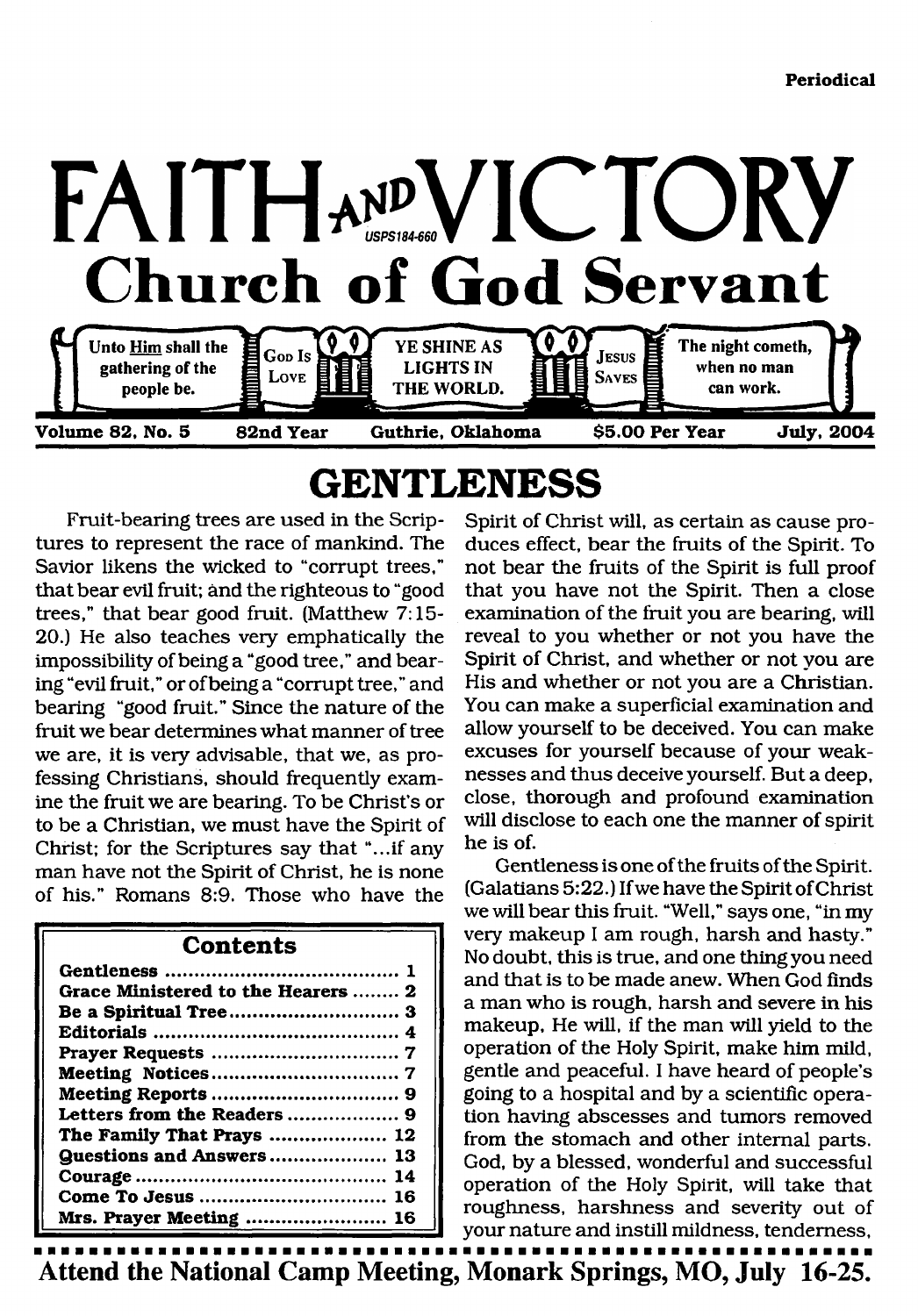

### <span id="page-0-0"></span>**GENTLENESS**

Fruit-bearing trees are used in the Scriptures to represent the race of mankind. The Savior likens the wicked to "corrupt trees," that bear evil fruit; and the righteous to "good trees," that bear good fruit. (Matthew 7:15- 20.) He also teaches very emphatically the impossibility of being a "good tree," and bearing "evil fruit," or of being a "corrupt tree," and bearing "good fruit." Since the nature of the fruit we bear determines what manner of tree we are, it is very advisable, that we, as professing Christians, should frequently examine the fruit we are bearing. To be Christ's or to be a Christian, we must have the Spirit of Christ; for the Scriptures say that "...if any man have not the Spirit of Christ, he is none of his." Romans 8:9. Those who have the

#### **Contents**

| Grace Ministered to the Hearers  2 |
|------------------------------------|
| Be a Spiritual Tree 3              |
|                                    |
|                                    |
|                                    |
|                                    |
|                                    |
| The Family That Prays  12          |
| <b>Guestions and Answers 13</b>    |
|                                    |
|                                    |
| Mrs. Prayer Meeting  16            |

Spirit of Christ will, as certain as cause produces effect, bear the fruits of the Spirit. To not bear the fruits of the Spirit is full proof that you have not the Spirit. Then a close examination of the fruit you are bearing, will reveal to you whether or not you have the Spirit of Christ, and whether or not you are His and whether or not you are a Christian. You can make a superficial examination and allow yourself to be deceived. You can make excuses for yourself because of your weaknesses and thus deceive yourself. But a deep, close, thorough and profound examination will disclose to each one the manner of spirit he is of.

Gentleness is one of the fruits of the Spirit. (Galatians 5:22.) If we have the Spirit of Christ we will bear this fruit. "Well," says one, "in my very makeup I am rough, harsh and hasty." No doubt, this is true, and one thing you need and that is to be made anew. When God finds a man who is rough, harsh and severe in his makeup, He will, if the man will yield to the operation of the Holy Spirit, make him mild, gentle and peaceful. I have heard of people's going to a hospital and by a scientific operation having abscesses and tumors removed from the stomach and other internal parts. God, by a blessed, wonderful and successful operation of the Holy Spirit, will take that roughness, harshness and severity out of your nature and instill mildness, tenderness,

**\*\*\*\*\*\*\*\*\*\*\* Attend the National Camp Meeting, Monark Springs, MO, July 16-25.**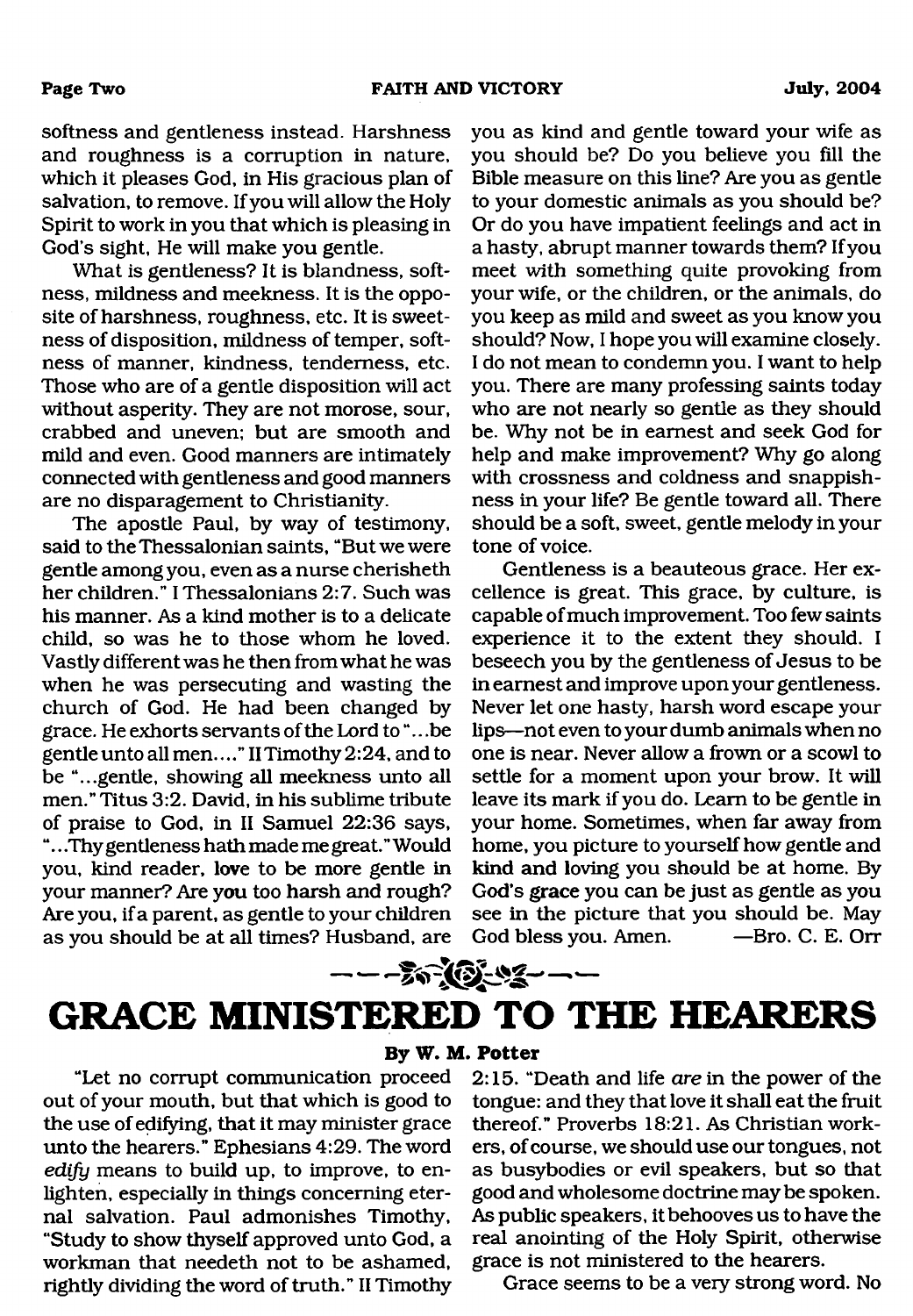softness and gentleness instead. Harshness and roughness is a corruption in nature, which it pleases God, in His gracious plan of salvation, to remove. If you will allow the Holy Spirit to work in you that which is pleasing in God's sight, He will make you gentle.

What is gentleness? It is blandness, softness, mildness and meekness. It is the opposite of harshness, roughness, etc. It is sweetness of disposition, mildness of temper, softness of manner, kindness, tenderness, etc. Those who are of a gentle disposition will act without asperity. They are not morose, sour, crabbed and uneven; but are smooth and mild and even. Good manners are intimately connected with gentleness and good manners are no disparagement to Christianity.

The apostle Paul, by way of testimony, said to the Thessalonian saints, "But we were gentle among you, even as a nurse cherisheth her children." I Thessalonians 2:7. Such was his manner. As a kind mother is to a delicate child, so was he to those whom he loved. Vastly different was he then from what he was when he was persecuting and wasting the church of God. He had been changed by grace. He exhorts servants of the Lord to ".. .be gentle unto all men...." IITimothy 2:24, and to be "...gentle, showing all meekness unto all men." Titus 3:2. David, in his sublime tribute of praise to God, in II Samuel 22:36 says, ".. .Thy gentleness hath made me great." Would you, kind reader, love to be more gentle in your manner? Are you too harsh and rough? Are you, if a parent, as gentle to your children as you should be at all times? Husband, are you as kind and gentle toward your wife as you should be? Do you believe you fill the Bible measure on this line? Are you as gentle to your domestic animals as you should be? Or do you have impatient feelings and act in a hasty, abrupt manner towards them? If you meet with something quite provoking from your wife, or the children, or the animals, do you keep as mild and sweet as you know you should? Now, I hope you will examine closely. I do not mean to condemn you. I want to help you. There are many professing saints today who are not nearly so gentle as they should be. Why not be in earnest and seek God for help and make improvement? Why go along with crossness and coldness and snappishness in your life? Be gentle toward all. There should be a soft, sweet, gentle melody in your tone of voice.

Gentleness is a beauteous grace. Her excellence is great. This grace, by culture, is capable of much improvement. Too few saints experience it to the extent they should. I beseech you by the gentleness of Jesus to be in earnest and improve upon your gentleness. Never let one hasty, harsh word escape your lips—not even to your dumb animals when no one is near. Never allow a frown or a scowl to settle for a moment upon your brow. It will leave its mark if you do. Learn to be gentle in your home. Sometimes, when far away from home, you picture to yourself how gentle and kind and loving you should be at home. By God's grace you can be just as gentle as you see in the picture that you should be. May God bless you. Amen. — Bro. C. E. Orr

### $- - -\frac{2}{3} - \frac{1}{3} - \frac{1}{3} - \frac{1}{3} - \frac{1}{3} - \frac{1}{3} - \frac{1}{3} - \frac{1}{3} - \frac{1}{3} - \frac{1}{3} - \frac{1}{3} - \frac{1}{3} - \frac{1}{3} - \frac{1}{3} - \frac{1}{3} - \frac{1}{3} - \frac{1}{3} - \frac{1}{3} - \frac{1}{3} - \frac{1}{3} - \frac{1}{3} - \frac{1}{3} - \frac{1}{3} - \frac{1}{3} - \frac{1}{3} - \frac{1}{3} - \frac{1}{3} - \$ **GRACE MINISTERED TO THE HEARERS**

**By W. M. Potter**

#### "Let no corrupt communication proceed out of your mouth, but that which is good to the use of edifying, that it may minister grace unto the hearers." Ephesians 4:29. The word *edify* means to build up, to improve, to enlighten, especially in things concerning eternal salvation. Paul admonishes Timothy, "Study to show thyself approved unto God, a workman that needeth not to be ashamed, rightly dividing the word of truth." II Timothy

2:15. "Death and life *are* in the power of the tongue: and they that love it shall eat the fruit thereof." Proverbs 18:21. As Christian workers, of course, we should use our tongues, not as busybodies or evil speakers, but so that good and wholesome doctrine may be spoken. As public speakers, it behooves us to have the real anointing of the Holy Spirit, otherwise grace is not ministered to the hearers.

Grace seems to be a very strong word. No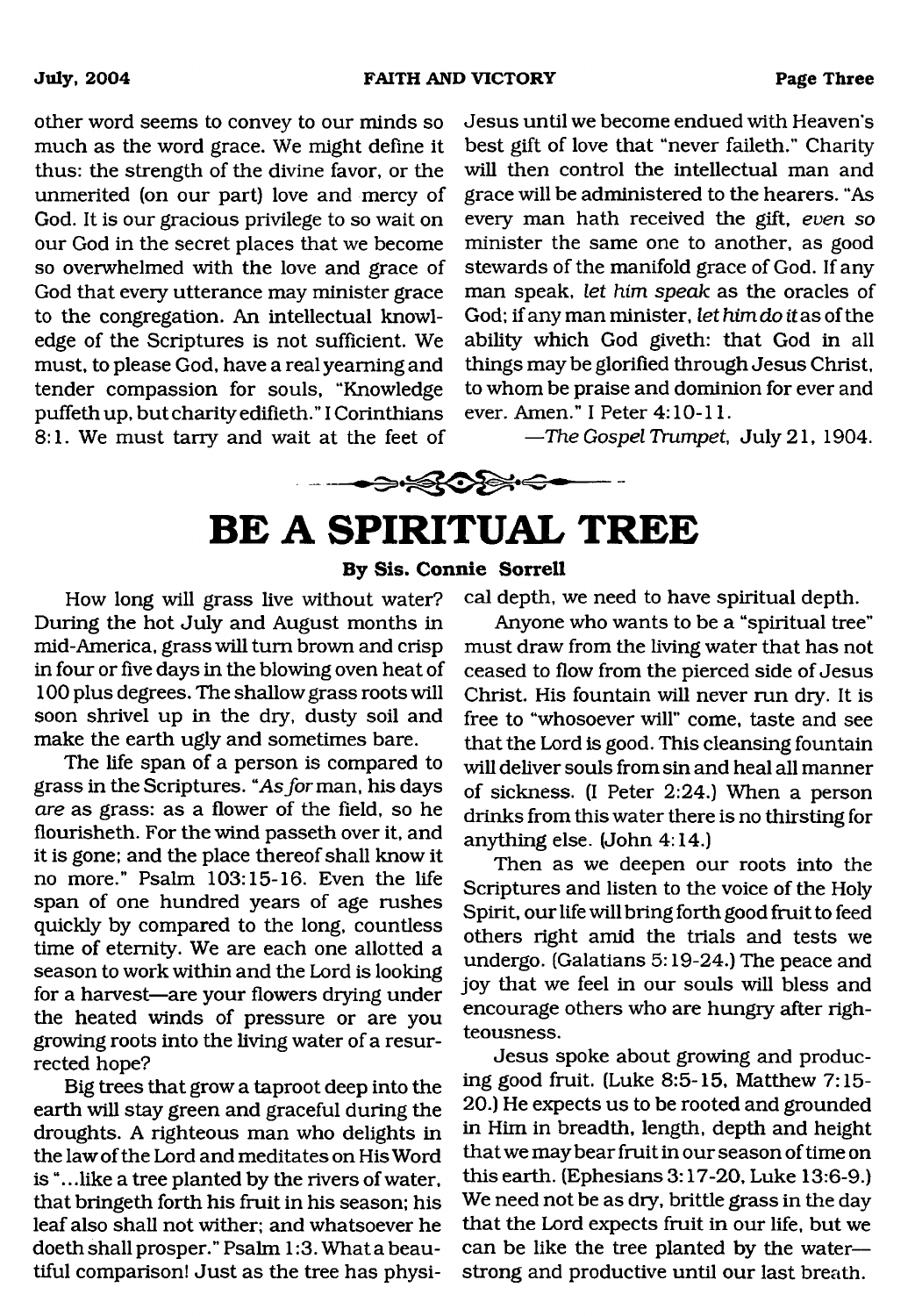**July, 2004 FAITH AND VICTORY Page Three**

other word seems to convey to our minds so much as the word grace. We might define it thus: the strength of the divine favor, or the unmerited (on our part) love and mercy of God. It is our gracious privilege to so wait on our God in the secret places that we become so overwhelmed with the love and grace of God that every utterance may minister grace to the congregation. An intellectual knowledge of the Scriptures is not sufficient. We must, to please God, have a real yearning and tender compassion for souls, "Knowledge puffethup, but charity edifieth." I Corinthians 8:1. We must tarry and wait at the feet of

Jesus until we become endued with Heaven's best gift of love that "never faileth." Charity will then control the intellectual man and grace will be administered to the hearers. "As every man hath received the gift, *even so* minister the same one to another, as good stewards of the manifold grace of God. If any man speak, *let him speak* as the oracles of God: if any man minister, *let him do it* as of the ability which God giveth: that God in all things may be glorified through Jesus Christ, to whom be praise and dominion for ever and ever. Amen." I Peter 4:10-11.

*—The Gospel Trumpet,* July 21, 1904.

# <span id="page-2-0"></span>**BE A SPIRITUAL TREE**

 $\rightarrow\quad$ 

#### **By Sis. Connie Sorrell**

How long will grass live without water? During the hot July and August months in mid-America, grass will turn brown and crisp in four or five days in the blowing oven heat of 100 plus degrees. The shallow grass roots will soon shrivel up in the dry, dusty soil and make the earth ugly and sometimes bare.

The life span of a person is compared to grass in the Scriptures. "As *for* man, his days *are* as grass: as a flower of the field, so he flourisheth. For the wind passeth over it, and it is gone; and the place thereof shall know it no more." Psalm 103:15-16. Even the life span of one hundred years of age rushes quickly by compared to the long, countless time of eternity. We are each one allotted a season to work within and the Lord is looking for a harvest—are your flowers drying under the heated winds of pressure or are you growing roots into the living water of a resurrected hope?

Big trees that grow a taproot deep into the earth will stay green and graceful during the droughts. A righteous man who delights in the law of the Lord and meditates on His Word is ".. .like a tree planted by the rivers of water, that bringeth forth his fruit in his season; his leaf also shall not wither; and whatsoever he doeth shall prosper." Psalm 1:3. What a beautiful comparison! Just as the tree has physical depth, we need to have spiritual depth.

Anyone who wants to be a "spiritual tree" must draw from the living water that has not ceased to flow from the pierced side of Jesus Christ. His fountain will never run drv. It is free to "whosoever will" come, taste and see that the Lord is good. This cleansing fountain will deliver souls from sin and heal all manner of sickness. (I Peter 2:24.) When a person drinks from this water there is no thirsting for anything else. (John 4:14.)

Then as we deepen our roots into the Scriptures and listen to the voice of the Holy Spirit, our life will bring forth good fruit to feed others right amid the trials and tests we undergo. (Galatians 5:19-24.) The peace and joy that we feel in our souls will bless and encourage others who are hungry after righteousness.

Jesus spoke about growing and producing good fruit. (Luke 8:5-15, Matthew 7:15- 20.) He expects us to be rooted and grounded in Him in breadth, length, depth and height that we may bear fruit in our season of time on this earth. (Ephesians 3:17-20, Luke 13:6-9.) We need not be as dry, brittle grass in the day that the Lord expects fruit in our life, but we can be like the tree planted by the water strong and productive until our last breath.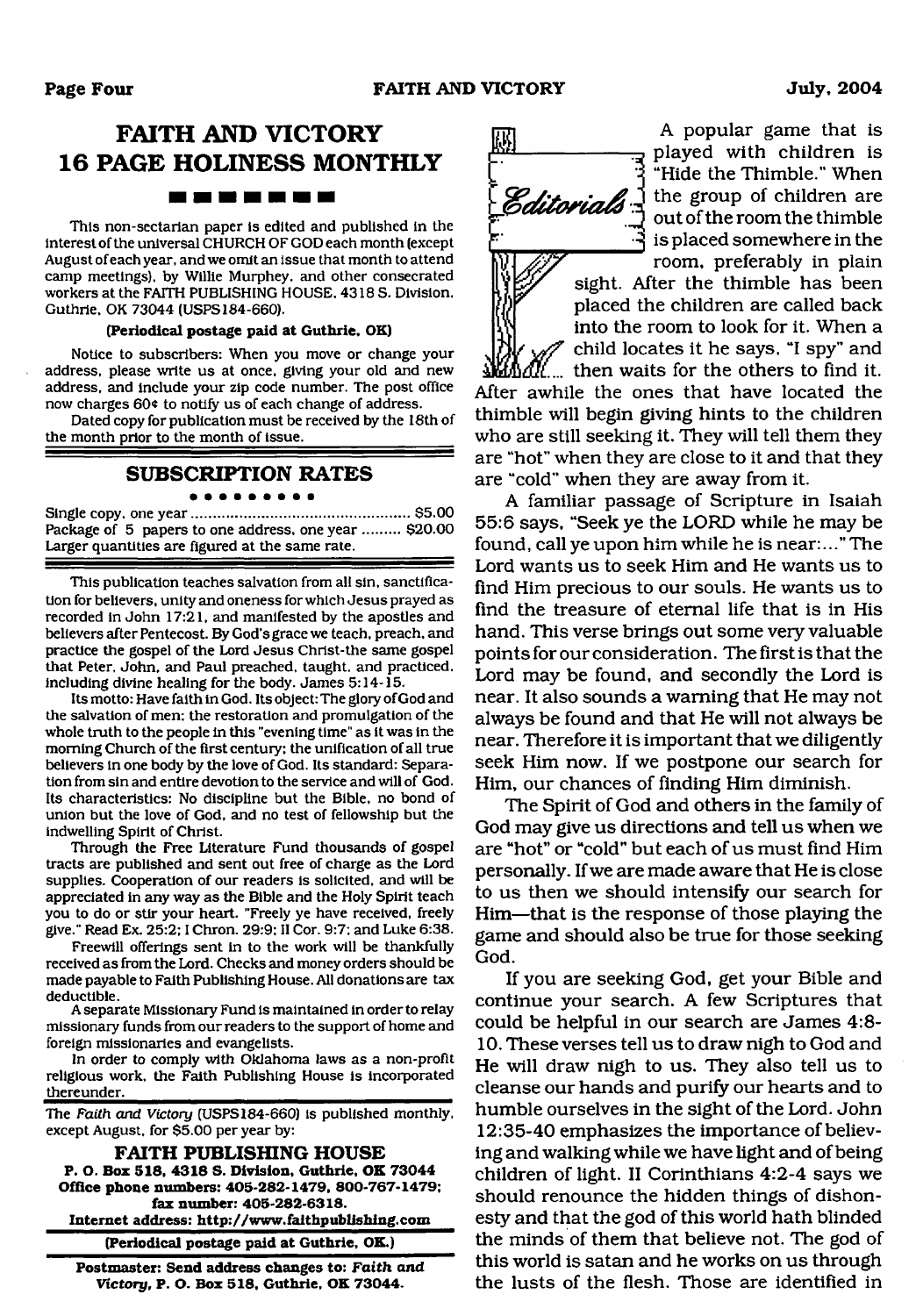### **FAITH AND VICTORY 16 PAGE HOLINESS MONTHLY**

#### , **. . . .** .

This non-sectarian paper is edited and published in the interest of the universal CHURCH OF GOD each month (except August of each year, and we omit an issue that month to attend camp meetings), by Willie Murphey. and other consecrated workers at the FAITH PUBLISHING HOUSE. 4318 S. Division. Guthrie, OK 73044 (USPS184-660).

#### **(Periodical postage paid at Guthrie, OK)**

Notice to subscribers: When you move or change your address, please write us at once, giving your old and new address, and include your zip code number. The post office now charges 60 $*$  to notify us of each change of address.

Dated copy for publication must be received by the 18th of the month prior to the month of issue.

#### **SUBSCRIPTION RATES**

Single copy, one year...................................................... \$5.00 Package of 5 papers to one address, one year ......... \$20.00 Larger quantities are figured at the same rate.

This publication teaches salvation from all sin, sanctification for believers, unity and oneness for which Jesus prayed as recorded in John 17:21, and manifested by the apostles and believers after Pentecost. By God's grace we teach, preach, and practice the gospel of the Lord Jesus Christ-the same gospel that Peter, John, and Paul preached, taught, and practiced, including divine healing for the body. James 5:14-15.

Its motto: Have faith in God. Its object: The glory of God and the salvation of men: the restoration and promulgation of the whole truth to the people in this "evening time" as it was in the morning Church of the first century: the unification of all true believers in one body by the love of God. Its standard: Separation from sin and entire devotion to the service and will of God. Its characteristics: No discipline but the Bible, no bond of union but the love of God, and no test of fellowship but the indwelling Spirit of Christ.

Through the Free Literature Fund thousands of gospel tracts are published and sent out free of charge as the Lord supplies. Cooperation of our readers is solicited, and will be appreciated in any way as the Bible and the Holy Spirit teach you to do or stir your heart. "Freely ye have received, freely give." Read Ex. 25:2; I Chron. 29:9: II Cor. 9:7; and Luke 6:38.

Freewill offerings sent in to the work will be thankfully received as from the Lord. Checks and money orders should be made payable to Faith Publishing House. All donations are tax deductible.

A separate Missionary Fund is maintained in order to relay missionary funds from our readers to the support of home and foreign missionaries and evangelists.

In order to comply with Oklahoma laws as a non-profit religious work, the Faith Publishing House is incorporated thereunder.

The *Faith, and Victory* (USPS 184-660) is published monthly, except August, for \$5.00 per year by:

**FAITH PUBLISHING HOUSE P. O. Box 518, 4318 S. Division, Guthrie, OK 73044 Office phone numbers: 405-282-1479, 800-767-1479; fax number: 405-282-6318. Internet address: <http://www.faithpublishing.com>**

**(Periodical postage paid at Guthrie, OK.)**

**Postmaster: Send address changes to:** *Faith and Victory,* **P. O. Box 518, Guthrie, OK 73044.**



A popular game that is played with children is "Hide the Thimble." When the group of children are out of the room the thimble is placed somewhere in the room, preferably in plain

sight. After the thimble has been placed the children are called back into the room to look for it. When a child locates it he says, "I spy" and  $\delta$  then waits for the others to find it.

After awhile the ones that have located the thimble will begin giving hints to the children who are still seeking it. They will tell them they are "hot" when they are close to it and that they are "cold" when they are away from it.

A familiar passage of Scripture in Isaiah 55:6 says, "Seek ye the LORD while he may be found, call ye upon him while he is near:..." The Lord wants us to seek Him and He wants us to find Him precious to our souls. He wants us to find the treasure of eternal life that is in His hand. This verse brings out some very valuable points for our consideration. The first is that the Lord may be found, and secondly the Lord is near. It also sounds a warning that He may not always be found and that He will not always be near. Therefore it is important that we diligently seek Him now. If we postpone our search for Him, our chances of finding Him diminish.

The Spirit of God and others in the family of God may give us directions and tell us when we are "hot" or "cold" but each of us must find Him personally. If we are made aware that He is close to us then we should intensify our search for Him—that is the response of those playing the game and should also be true for those seeking God.

If you are seeking God, get your Bible and continue your search. A few Scriptures that could be helpful in our search are James 4:8- 10. These verses tell us to draw nigh to God and He will draw nigh to us. They also tell us to cleanse our hands and purify our hearts and to humble ourselves in the sight of the Lord. John 12:35-40 emphasizes the importance of believing and walking while we have light and of being children of light. II Corinthians 4:2-4 says we should renounce the hidden things of dishonesty and that the god of this world hath blinded the minds of them that believe not. The god of this world is satan and he works on us through the lusts of the flesh. Those are identified in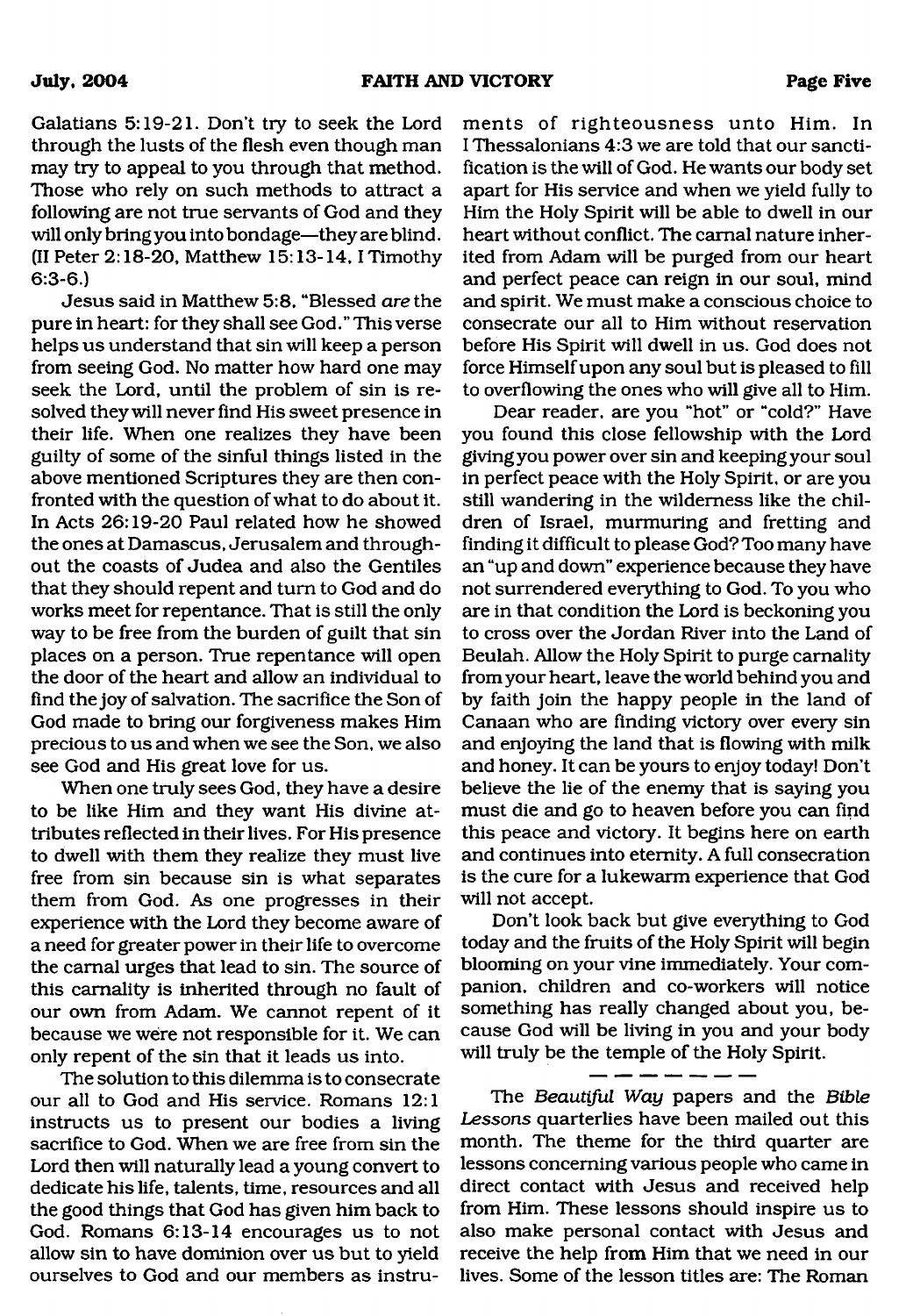Galatians 5:19-21. Don't try to seek the Lord through the lusts of the flesh even though man may try to appeal to you through that method. Those who rely on such methods to attract a following are not true servants of God and they will only bring you into bondage—they are blind. (II Peter 2:18-20, Matthew 15:13-14,1 Timothy 6:3-6.)

Jesus said in Matthew 5:8, "Blessed *are* the pure in heart: for they shall see God." This verse helps us understand that sin will keep a person from seeing God. No matter how hard one may seek the Lord, until the problem of sin is resolved they will never find His sweet presence in their life. When one realizes they have been guilty of some of the sinful things listed in the above mentioned Scriptures they are then confronted with the question of what to do about it. In Acts 26:19-20 Paul related how he showed the ones at Damascus, Jerusalem and throughout the coasts of Judea and also the Gentiles that they should repent and turn to God and do works meet for repentance. That is still the only way to be free from the burden of guilt that sin places on a person. True repentance will open the door of the heart and allow an individual to find the joy of salvation. The sacrifice the Son of God made to bring our forgiveness makes Him precious to us and when we see the Son, we also see God and His great love for us.

When one truly sees God, they have a desire to be like Him and they want His divine attributes reflected in their lives. For His presence to dwell with them they realize they must live free from sin because sin is what separates them from God. As one progresses in their experience with the Lord they become aware of a need for greater power in their life to overcome the carnal urges that lead to sin. The source of this carnality is inherited through no fault of our own from Adam. We cannot repent of it because we were not responsible for it. We can only repent of the sin that it leads us into.

The solution to this dilemma is to consecrate our all to God and His service. Romans 12:1 instructs us to present our bodies a living sacrifice to God. When we are free from sin the Lord then will naturally lead a young convert to dedicate his life, talents, time, resources and all the good things that God has given him back to God. Romans 6:13-14 encourages us to not allow sin to have dominion over us but to yield ourselves to God and our members as instruments of righteousness unto Him. In I Thessalonians 4:3 we are told that our sanctification is the will of God. He wants our body set apart for His service and when we yield fully to Him the Holy Spirit will be able to dwell in our heart without conflict. The carnal nature inherited from Adam will be purged from our heart and perfect peace can reign in our soul, mind and spirit. We must make a conscious choice to consecrate our all to Him without reservation before His Spirit will dwell in us. God does not force Himself upon any soul but is pleased to fill to overflowing the ones who will give all to Him.

Dear reader, are you "hot" or "cold?" Have you found this close fellowship with the Lord giving you power over sin and keeping your soul in perfect peace with the Holy Spirit, or are you still wandering in the wilderness like the children of Israel, murmuring and fretting and finding it difficult to please God? Too many have an "up and down" experience because they have not surrendered everything to God. To you who are in that condition the Lord is beckoning you to cross over the Jordan River into the Land of Beulah. Allow the Holy Spirit to purge carnality from your heart, leave the world behind you and by faith join the happy people in the land of Canaan who are finding victory over every sin and enjoying the land that is flowing with milk and honey. It can be yours to enjoy today! Don't believe the lie of the enemy that is saying you must die and go to heaven before you can find this peace and victory. It begins here on earth and continues into eternity. A full consecration is the cure for a lukewarm experience that God will not accept.

Don't look back but give everything to God today and the fruits of the Holy Spirit will begin blooming on your vine immediately. Your companion, children and co-workers will notice something has really changed about you, because God will be living in you and your body will truly be the temple of the Holy Spirit.

The *Beautiful Way* papers and the *Bible Lessons* quarterlies have been mailed out this month. The theme for the third quarter are lessons concerning various people who came in direct contact with Jesus and received help from Him. These lessons should inspire us to also make personal contact with Jesus and receive the help from Him that we need in our lives. Some of the lesson titles are: The Roman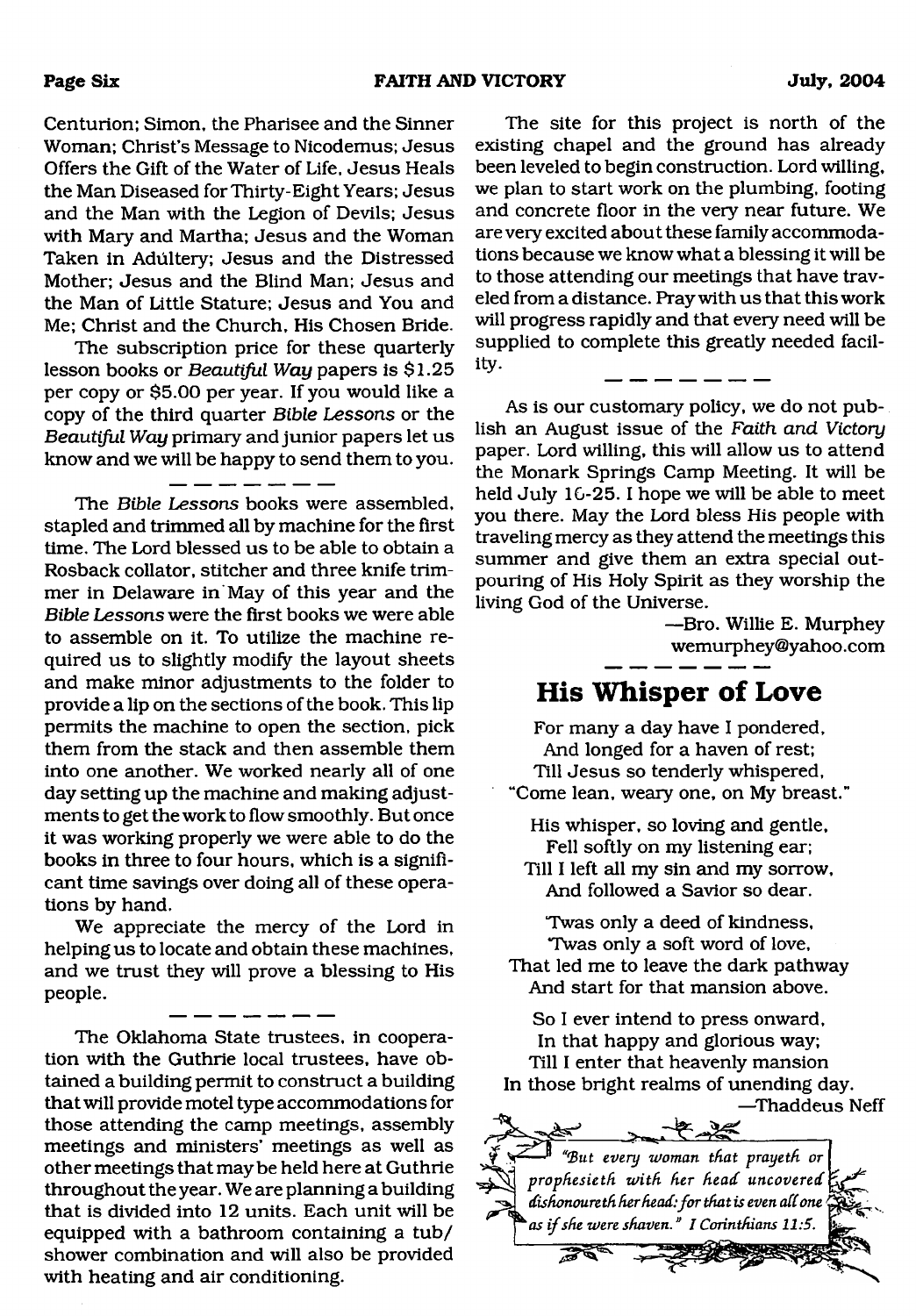Centurion; Simon, the Pharisee and the Sinner Woman; Christ's Message to Nicodemus; Jesus Offers the Gift of the Water of Life, Jesus Heals the Man Diseased for Thirty-Eight Years; Jesus and the Man with the Legion of Devils; Jesus with Mary and Martha; Jesus and the Woman Taken in Adultery; Jesus and the Distressed Mother; Jesus and the Blind Man; Jesus and the Man of Little Stature; Jesus and You and Me; Christ and the Church, His Chosen Bride.

The subscription price for these quarterly lesson books or *Beautiful Way* papers is \$1.25 per copy or \$5.00 per year. If you would like a copy of the third quarter *Bible Lessons* or the *Beautiful Way* primary and junior papers let us know and we will be happy to send them to you.

<u>and a straight</u>

The *Bible Lessons* books were assembled, stapled and trimmed all by machine for the first time. The Lord blessed us to be able to obtain a Rosback collator, stitcher and three knife trimmer in Delaware in May of this year and the *Bible Lessons* were the first books we were able to assemble on it. To utilize the machine required us to slightly modify the layout sheets and make minor adjustments to the folder to provide a lip on the sections of the book. This lip permits the machine to open the section, pick them from the stack and then assemble them into one another. We worked nearly all of one day setting up the machine and making adjustments to get the work to flow smoothly. But once it was working properly we were able to do the books in three to four hours, which is a significant time savings over doing *all* of these operations by hand.

We appreciate the mercy of the Lord in helping us to locate and obtain these machines, and we trust they will prove a blessing to His people.

The Oklahoma State trustees, in cooperation with the Guthrie local trustees, have obtained a building permit to construct a building that will provide motel type accommodations for those attending the camp meetings, assembly meetings and ministers' meetings as well as other meetings that maybe held here at Guthrie throughout the year. We are planning a building that is divided into 12 units. Each unit will be equipped with a bathroom containing a tub/ shower combination and will also be provided with heating and air conditioning.

The site for this project is north of the existing chapel and the ground has already been leveled to begin construction. Lord willing, we plan to start work on the plumbing, footing and concrete floor in the very near future. We are very excited about these family accommodations because we know what a blessing it will be to those attending our meetings that have traveled from a distance. Pray with us that this work will progress rapidly and that every need will be supplied to complete this greatly needed facility.

As is our customary policy, we do not publish an August issue of the *Faith and Victory* paper. Lord willing, this will allow us to attend the Monark Springs Camp Meeting. It will be held July 16-25. I hope we will be able to meet you there. May the Lord bless His people with traveling mercy as they attend the meetings this summer and give them an extra special outpouring of His Holy Spirit as they worship the living God of the Universe.

—Bro. Willie E. Murphey wemurphey@yahoo .com

### **His Whisper of Love**

For many a day have I pondered, And longed for a haven of rest; Till Jesus so tenderly whispered, "Come lean, weary one, on My breast."

His whisper, so loving and gentle, Fell softly on my listening ear; Till I left all my sin and my sorrow, And followed a Savior so dear.

Twas only a deed of kindness, Twas only a soft word of love, That led me to leave the dark pathway And start for that mansion above.

So I ever intend to press onward, In that happy and glorious way; Till I enter that heavenly mansion In those bright realms of unending day.

—Thaddeus Neff

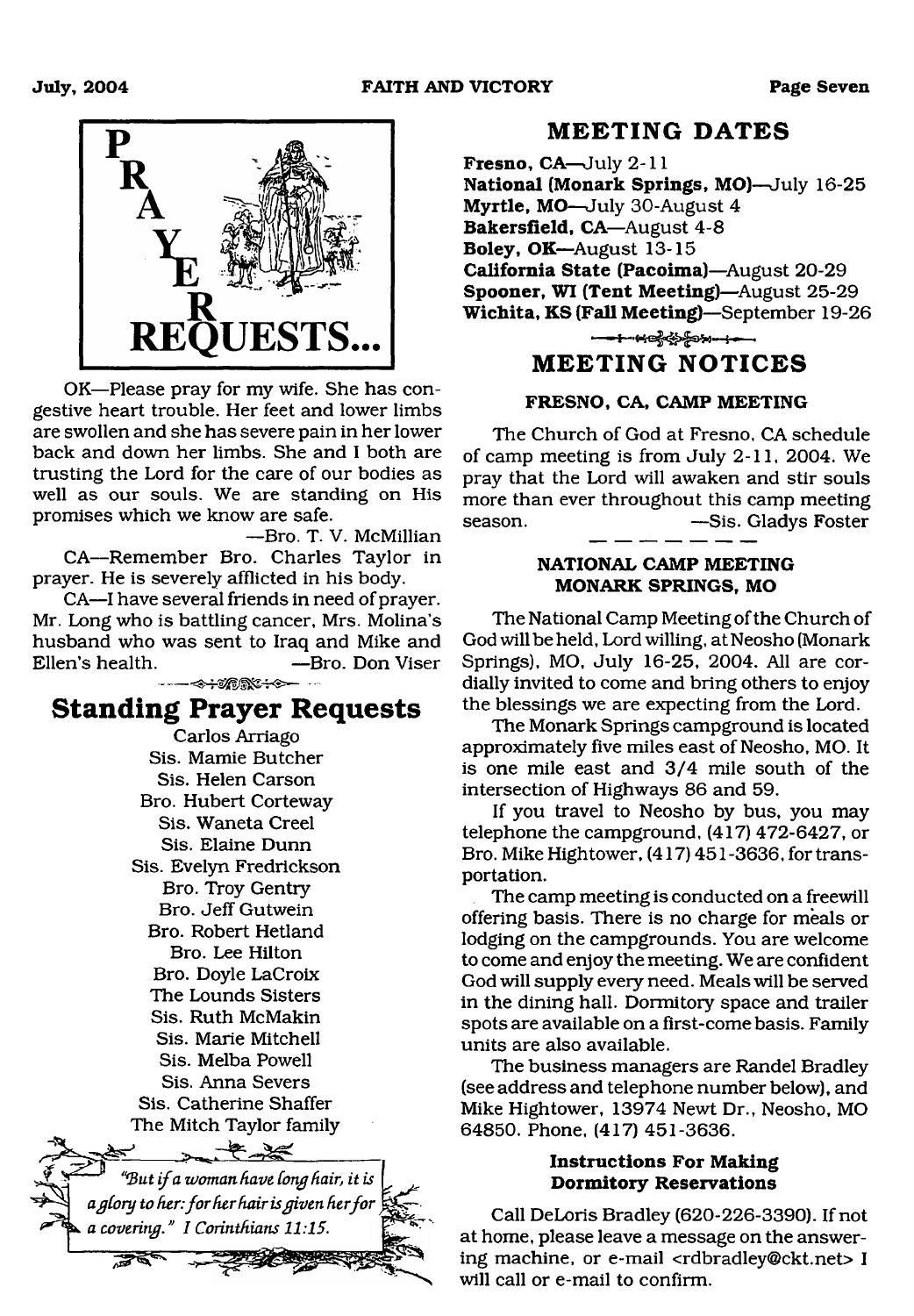

OK—Please pray for my wife. She has congestive heart trouble. Her feet and lower limbs are swollen and she has severe pain in her lower back and down her limbs. She and I both are trusting the Lord for the care of our bodies as well as our souls. We are standing on His promises which we know are safe.

—Bro. T. V. McMillian CA—Remember Bro. Charles Taylor in prayer. He is severely afflicted in his body.

CA—I have several friends in need of prayer. Mr. Long who is battling cancer, Mrs. Molina's husband who was sent to Iraq and Mike and Ellen's health. —Bro. Don Viser

### **Standing Prayer Requests**

Carlos Arriago Sis. Mamie Butcher Sis. Helen Carson Bro. Hubert Corteway Sis. Waneta Creel Sis. Elaine Dunn Sis. Evelyn Fredrickson Bro. Troy Gentry Bro. Jeff Gutwein Bro. Robert Hetland Bro. Lee Hilton Bro. Doyle LaCroix The Lounds Sisters Sis. Ruth McMakin Sis. Marie Mitchell Sis. Melba Powell Sis. Anna Severs Sis. Catherine Shaffer The Mitch Taylor family  $-2-2$ *\$ v "'B ut i f a woman have Cong hair, it is a gCory to fier: fo r her fa ir is given her fo r a covering." I Corinthians 11:15.*

#### **M EETING DATES**

<span id="page-6-0"></span>**Fresno, CA**—July 2-11 **National (Monark Springs, MO)**—July 16-25 **Myrtle, MO**—July 30-August 4 **Bakersfield, CA—**August 4-8 **Boley, OK**—August 13-15 **California State (Pacoima)**—August 20-29 **Spooner, WI (Tent Meeting)**—August 25-29 **Wichita, KS (Fall Meeting)**—September 19-26 ■ " i S——■

#### **M EETING NOTICES**

#### **FRESNO, CA, CAMP MEETING**

The Church of God at Fresno, CA schedule of camp meeting is from July 2-11, 2004. We pray that the Lord will awaken and stir souls more than ever throughout this camp meeting season. — — — Sis. Gladys Foster

#### **NATIONAL CAMP MEETING MONARK SPRINGS, MO**

The National Camp Meeting of the Church of God will be held, Lord willing, at Neosho (Monark Springs), MO, July 16-25, 2004. All are cordially invited to come and bring others to enjoy the blessings we are expecting from the Lord.

The Monark Springs campground is located approximately five miles east of Neosho, MO. It is one mile east and 3/4 mile south of the intersection of Highways 86 and 59.

If you travel to Neosho by bus, you may telephone the campground, (417) 472-6427, or Bro. Mike Hightower, (417) 451-3636, for transportation.

The camp meeting is conducted on a freewill offering basis. There is no charge for meals or lodging on the campgrounds. You are welcome to come and enjoy the meeting. We are confident God will supply every need. Meals will be served in the dining hall. Dormitory space and trailer spots are available on a first-come basis. Family units are also available.

The business managers are Randel Bradley (see address and telephone number below), and Mike Hightower, 13974 Newt Dr., Neosho, MO 64850. Phone, (417) 451-3636.

#### **Instructions For Making Dormitory Reservations**

Call DeLoris Bradley (620-226-3390). If not at home, please leave a message on the answering machine, or e-mail <[rdbradley@ckt.net](mailto:rdbradley@ckt.net)> I will call or e-mail to confirm.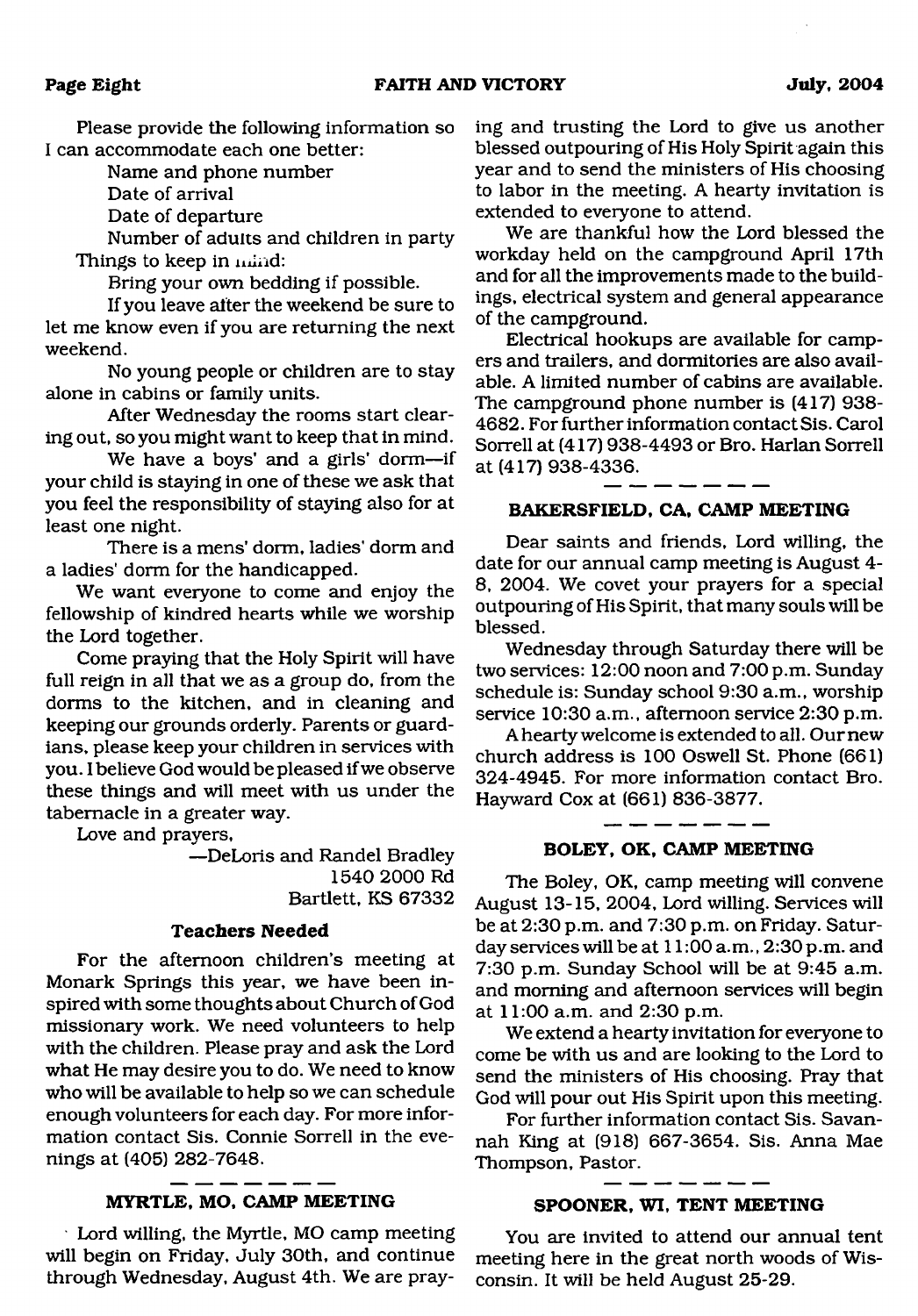Please provide the following information so I can accommodate each one better:

Name and phone number

Date of arrival

Date of departure

Number of adults and children in party Things to keep in mind:

Bring your own bedding if possible.

If you leave alter the weekend be sure to let me know even if you are returning the next weekend.

No young people or children are to stay alone in cabins or family units.

After Wednesday the rooms start clearing out, so you might want to keep that in mind.

We have a boys' and a girls' dorm—if your child is staying in one of these we ask that you feel the responsibility of staying also for at least one night.

There is a mens' dorm, ladies' dorm and a ladies' dorm for the handicapped.

We want everyone to come and enjoy the fellowship of kindred hearts while we worship the Lord together.

Come praying that the Holy Spirit will have full reign in all that we as a group do, from the dorms to the kitchen, and in cleaning and keeping our grounds orderly. Parents or guardians, please keep your children in services with you. I believe God would be pleased if we observe these things and will meet with us under the tabernacle in a greater way.

Love and prayers,

—DeLoris and Randel Bradley 1540 2000 Rd Bartlett, KS 67332

#### **Teachers Needed**

For the afternoon children's meeting at Monark Springs this year, we have been inspired with some thoughts about Church of God missionary work. We need volunteers to help with the children. Please pray and ask the Lord what He may desire you to do. We need to know who will be available to help so we can schedule enough volunteers for each day. For more information contact Sis. Connie Sorrell in the evenings at (405) 282-7648.

#### **MYRTLE, MO, CAMP MEETING**

Lord willing, the Myrtle, MO camp meeting will begin on Friday, July 30th, and continue through Wednesday, August 4th. We are praying and trusting the Lord to give us another blessed outpouring of His Holy Spirit again this year and to send the ministers of His choosing to labor in the meeting. A hearty invitation is extended to everyone to attend.

We are thankful how the Lord blessed the workday held on the campground April 17th and for all the improvements made to the buildings, electrical system and general appearance of the campground.

Electrical hookups are available for campers and trailers, and dormitories are also available. A limited number of cabins are available. The campground phone number is (417) 938- 4682. For further information contact Sis. Carol Sorrell at (417) 938-4493 or Bro. Harlan Sorrell at (417) 938-4336.

#### **BAKERSFIELD, CA, CAMP MEETING**

Dear saints and friends, Lord willing, the date for our annual camp meeting is August 4- 8, 2004. We covet your prayers for a special outpouring of His Spirit, that many souls will be blessed.

Wednesday through Saturday there will be two services: 12:00 noon and 7:00 p.m. Sunday schedule is: Sunday school 9:30 a.m., worship service 10:30 a.m., afternoon service 2:30 p.m.

A hearty welcome is extended to all. Our new church address is 100 Oswell St. Phone (661) 324-4945. For more information contact Bro. Hayward Cox at (661) 836-3877.

#### **BOLEY, OK, CAMP MEETING**

The Boley, OK, camp meeting will convene August 13-15, 2004, Lord willing. Services will be at 2:30 p.m. and 7:30 p.m. on Friday. Saturday services will be at 11:00 a.m., 2:30 p.m. and 7:30 p.m. Sunday School will be at 9:45 a.m. and morning and afternoon services will begin at 11:00 a.m. and 2:30 p.m.

We extend a hearty invitation for everyone to come be with us and are looking to the Lord to send the ministers of His choosing. Pray that God will pour out His Spirit upon this meeting.

For further information contact Sis. Savannah King at (918) 667-3654. Sis. Anna Mae Thompson, Pastor.

#### **SPOONER, WI, TENT MEETING**

You are invited to attend our annual tent meeting here in the great north woods of Wisconsin. It will be held August 25-29.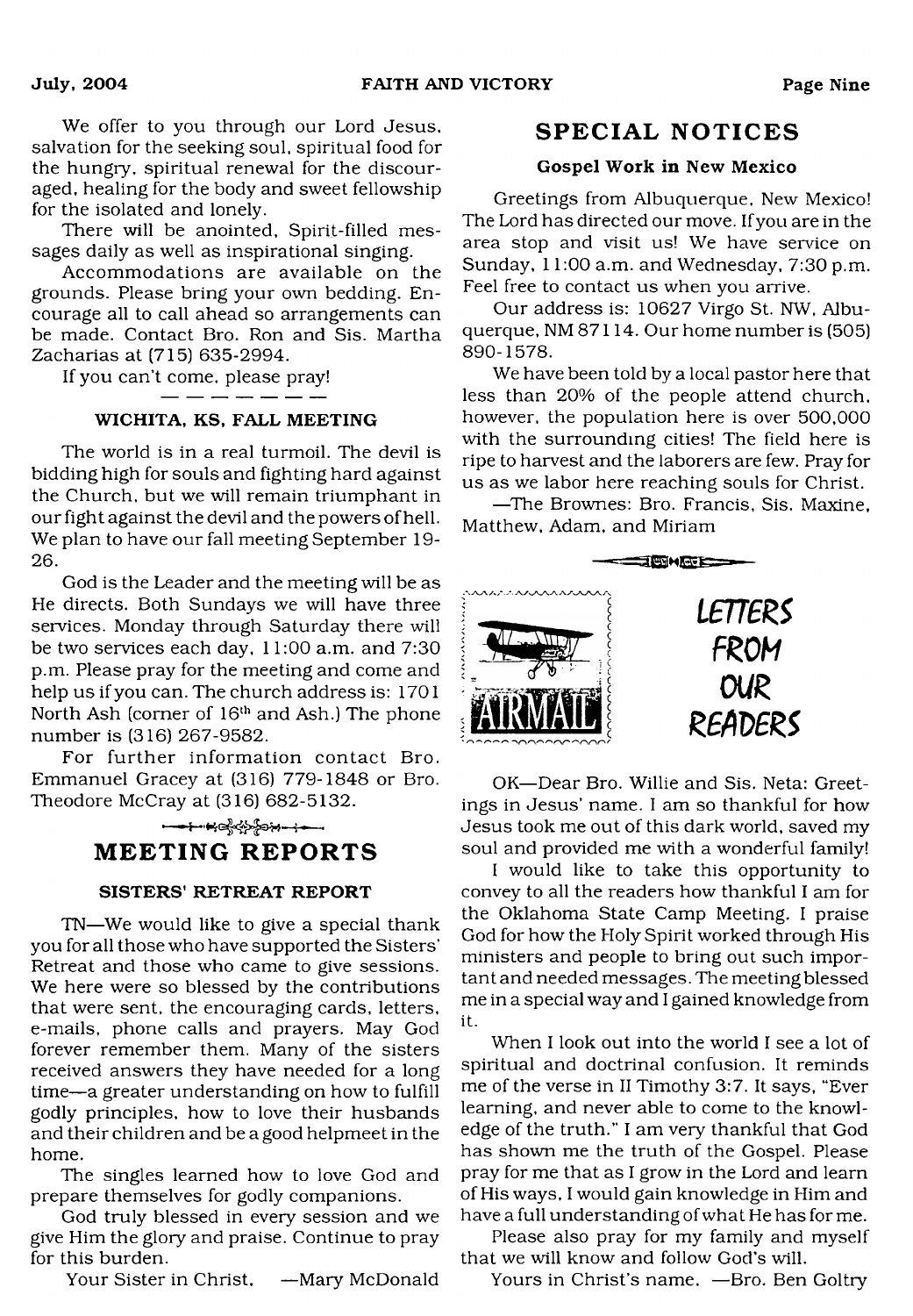We offer to you through our Lord Jesus, salvation for the seeking soul, spiritual food for the hungry, spiritual renewal for the discouraged, healing for the body and sweet fellowship for the isolated and lonely.

There will be anointed, Spirit-filled messages daily as well as inspirational singing.

Accommodations are available on the grounds. Please bring your own bedding. Encourage all to call ahead so arrangements can be made. Contact Bro. Ron and Sis. Martha Zacharias at (715) 635-2994.

If you can't come, please pray!

#### WICHITA, KS, FALL MEETING

The world is in a real turmoil. The devil is bidding high for souls and fighting hard against the Church, but we will remain triumphant in our fight against the devil and the powers of hell. We plan to have our fall meeting September 19- 26.

God is the Leader and the meeting will be as He directs. Both Sundays we will have three services. Monday through Saturday there will be two services each day, 11:00 a.m. and 7:30 p.m. Please pray for the meeting and come and help us if you can. The church address is: 1701 North Ash (corner of  $16<sup>th</sup>$  and Ash.) The phone number is (316) 267-9582.

<span id="page-8-0"></span>For further information contact Bro. Emmanuel Gracey at (316) 779-1848 or Bro. Theodore McCray at (316) 682-5132.

#### **MEETING REPORTS**

#### SISTERS' RETREAT REPORT

TN—We would like to give a special thank you for all those who have supported the Sisters' Retreat and those who came to give sessions. We here were so blessed by the contributions that were sent, the encouraging cards, letters, e-mails, phone calls and prayers. May God forever remember them. Many of the sisters received answers they have needed for a long time—a greater understanding on how to fulfill godly principles, how to love their husbands and their children and be a good helpmeet in the home.

The singles learned how to love God and prepare themselves for godly companions.

God truly blessed in every session and we give Him the glory and praise. Continue to pray for this burden.

Your Sister in Christ, —Mary McDonald

#### **SPECIAL NOTICES**

#### Gospel Work in New Mexico

Greetings from Albuquerque, New Mexico! The Lord has directed our move. If you are in the area stop and visit us! We have service on Sunday, 11:00 a.m. and Wednesday, 7:30 p.m. Feel free to contact us when you arrive.

Our address is: 10627 Virgo St. NW, Albuquerque, NM 87114. Our home number is (505) 890-1578.

We have been told by a local pastor here that less than 20% of the people attend church, however, the population here is over 500,000 with the surrounding cities! The field here is ripe to harvest and the laborers are few. Pray for us as we labor here reaching souls for Christ.

—The Brownes: Bro. Francis, Sis. Maxine, Matthew, Adam, and Miriam



OK—Dear Bro. Willie and Sis. Neta: Greetings in Jesus' name. I am so thankful for how Jesus took me out of this dark world, saved my soul and provided me with a wonderful family!

I would like to take this opportunity to convey to all the readers how thankful I am for the Oklahoma State Camp Meeting. I praise God for how the Holy Spirit worked through His ministers and people to bring out such important and needed messages. The meeting blessed me in a special way and I gained knowledge from it.

When I look out into the world I see a lot of spiritual and doctrinal confusion. It reminds me of the verse in II Timothy 3:7. It says, "Ever learning, and never able to come to the knowledge of the truth." I am very thankful that God has shown me the truth of the Gospel. Please pray for me that as I grow in the Lord and learn of His ways, I would gain knowledge in Him and have a full understanding of what He has for me.

Please also pray for my family and myself that we will know and follow God's will.

Yours in Christ's name. —Bro. Ben Goltry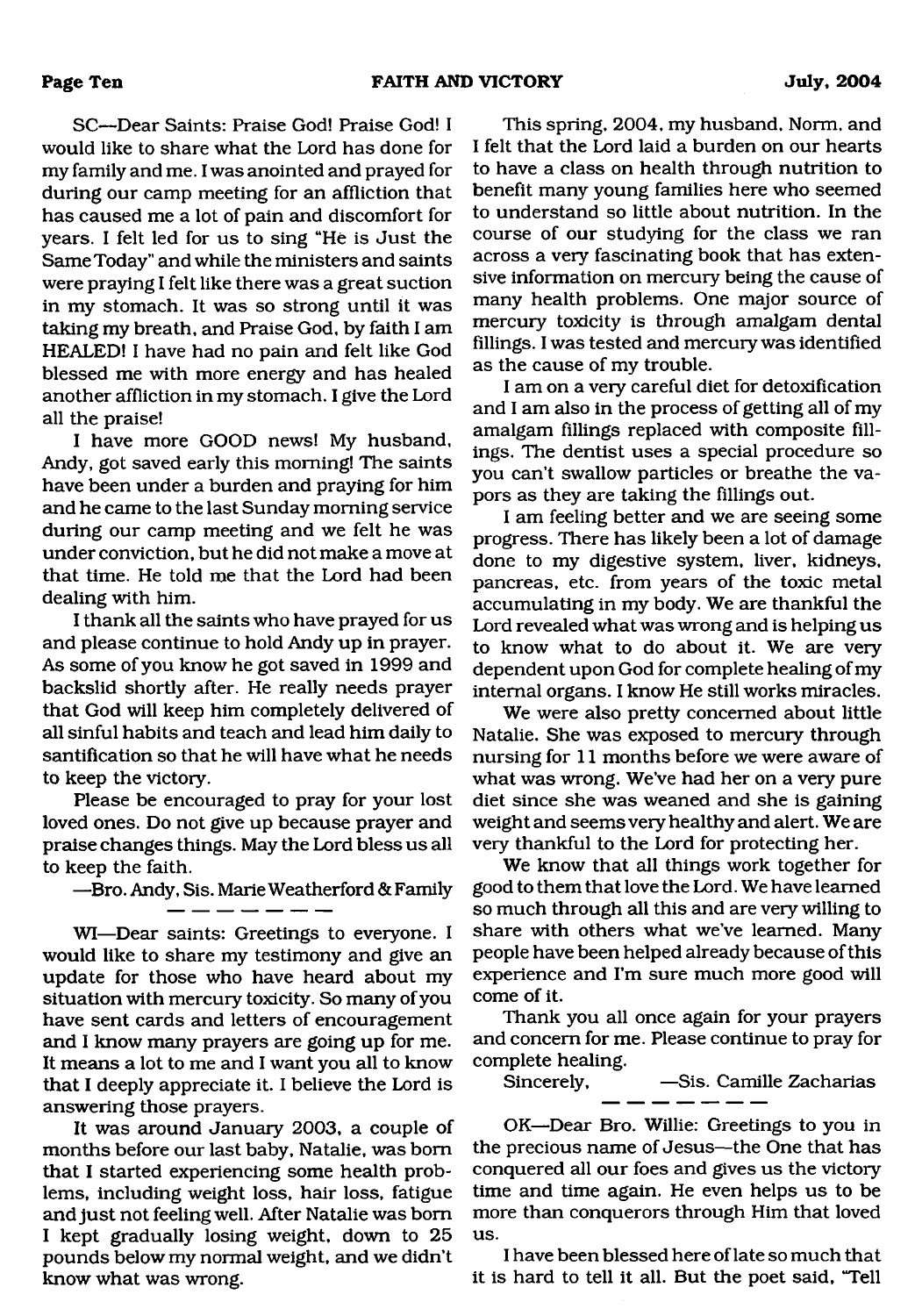SC—Dear Saints: Praise God! Praise God! I would like to share what the Lord has done for my family and me. I was anointed and prayed for during our camp meeting for an affliction that has caused me a lot of pain and discomfort for years. I felt led for us to sing "He is Just the Same Today" and while the ministers and saints were praying I felt like there was a great suction in my stomach. It was so strong until it was taking my breath, and Praise God, by faith I am HEALED! I have had no pain and felt like God blessed me with more energy and has healed another affliction in my stomach. I give the Lord all the praise!

I have more GOOD news! My husband, Andy, got saved early this morning! The saints have been under a burden and praying for him and he came to the last Sunday morning service during our camp meeting and we felt he was under conviction, but he did not make a move at that time. He told me that the Lord had been dealing with him.

I thank all the saints who have prayed for us and please continue to hold Andy up in prayer. As some of you know he got saved in 1999 and backslid shortly after. He really needs prayer that God will keep him completely delivered of all sinful habits and teach and lead him daily to santification so that he will have what he needs to keep the victory.

Please be encouraged to pray for your lost loved ones. Do not give up because prayer and praise changes things. May the Lord bless us all to keep the faith.

—Bro. Andy, Sis. Marie Weatherford & Family

WI—Dear saints: Greetings to everyone. I would like to share my testimony and give an update for those who have heard about my situation with mercury toxicity. So many of you have sent cards and letters of encouragement and I know many prayers are going up for me. It means a lot to me and I want you all to know that I deeply appreciate it. I believe the Lord is answering those prayers.

It was around January 2003, a couple of months before our last baby, Natalie, was bom that I started experiencing some health problems, including weight loss, hair loss, fatigue and just not feeling well. After Natalie was bom I kept gradually losing weight, down to 25 pounds below my normal weight, and we didn't know what was wrong.

This spring, 2004, my husband. Norm, and I felt that the Lord laid a burden on our hearts to have a class on health through nutrition to benefit many young families here who seemed to understand so little about nutrition. In the course of our studying for the class we ran across a very fascinating book that has extensive information on mercury being the cause of many health problems. One major source of mercury toxicity is through amalgam dental fillings. I was tested and mercury was identified as the cause of my trouble.

I am on a very careful diet for detoxification and I am also in the process of getting all of my amalgam fillings replaced with composite fillings. The dentist uses a special procedure so you can't swallow particles or breathe the vapors as they are taking the fillings out.

I am feeling better and we are seeing some progress. There has likely been a lot of damage done to my digestive system, liver, kidneys, pancreas, etc. from years of the toxic metal accumulating in my body. We are thankful the Lord revealed what was wrong and is helping us to know what to do about it. We are very dependent upon God for complete healing of my internal organs. I know He still works miracles.

We were also pretty concerned about little Natalie. She was exposed to mercury through nursing for 11 months before we were aware of what was wrong. We've had her on a very pure diet since she was weaned and she is gaining weight and seems very healthy and alert. We are very thankful to the Lord for protecting her.

We know that all things work together for good to them that love the Lord. We have learned so much through all this and are very willing to share with others what we've learned. Many people have been helped already because of this experience and I'm sure much more good will come of it.

Thank you all once again for your prayers and concern for me. Please continue to pray for complete healing.

Sincerely, —Sis. Camille Zacharias

OK—Dear Bro. Willie: Greetings to you in the precious name of Jesus—the One that has conquered all our foes and gives us the victory time and time again. He even helps us to be more than conquerors through Him that loved us.

I have been blessed here of late so much that it is hard to tell it all. But the poet said, "Tell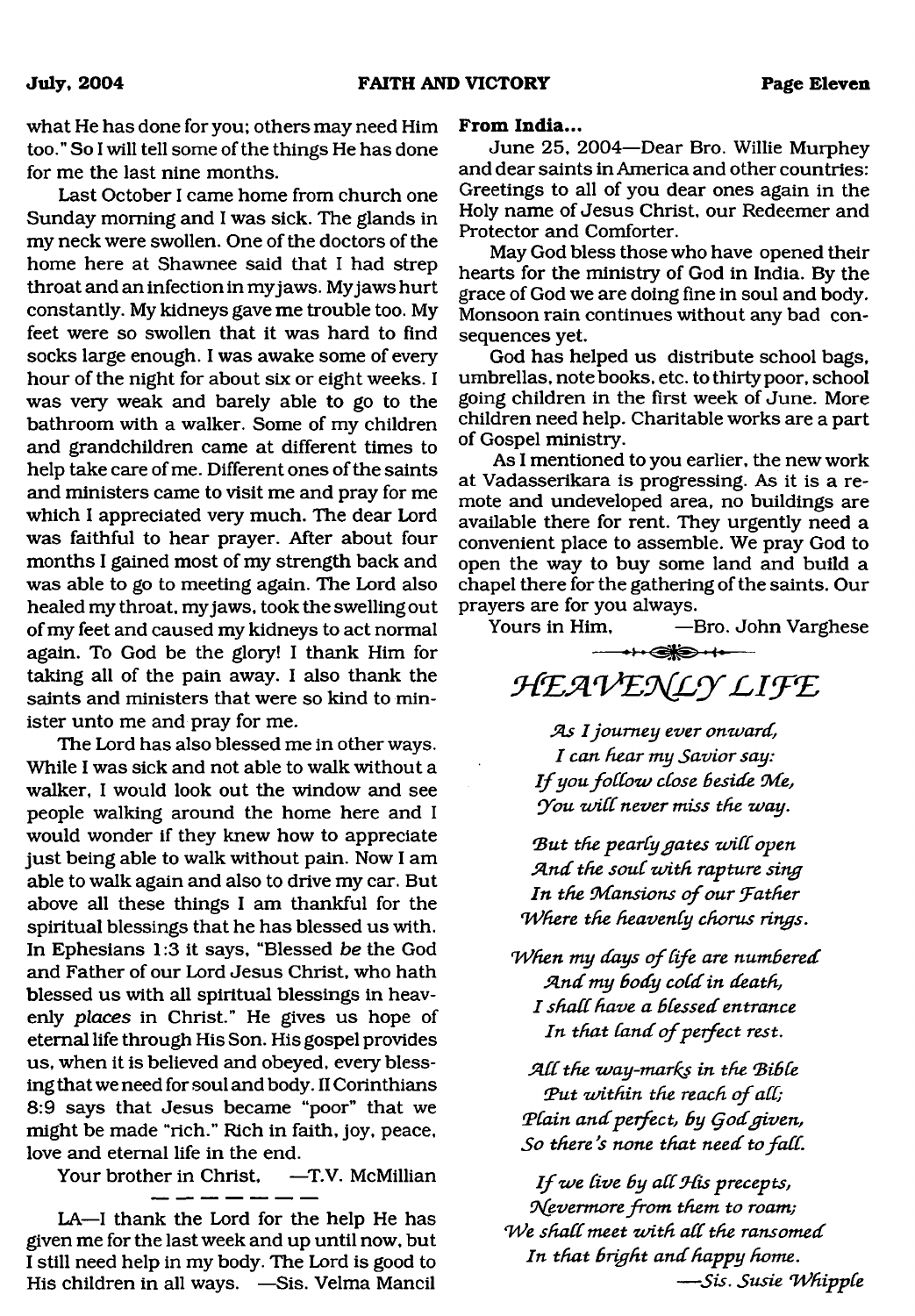what He has done for you; others may need Him too." So I will tell some of the things He has done for me the last nine months.

Last October I came home from church one Sunday morning and I was sick. The glands in my neck were swollen. One of the doctors of the home here at Shawnee said that I had strep throat and an infection in myjaws. My jaws hurt constantly. My kidneys gave me trouble too. My feet were so swollen that it was hard to find socks large enough. I was awake some of every hour of the night for about six or eight weeks. I was *very* weak and barely able to go to the bathroom with a walker. Some of my children and grandchildren came at different times to help take care of me. Different ones of the saints and ministers came to visit me and pray for me which I appreciated very much. The dear Lord was faithful to hear prayer. After about four months I gained most of my strength back and was able to go to meeting again. The Lord also healed my throat, myjaws, took the swelling out of my feet and caused my kidneys to act normal again. To God be the glory! I thank Him for taking all of the pain away. I also thank the saints and ministers that were so kind to minister unto me and pray for me.

The Lord has also blessed me in other ways. While I was sick and not able to walk without a walker, I would look out the window and see people walking around the home here and I would wonder if they knew how to appreciate just being able to walk without pain. Now I am able to walk again and also to drive my car. But above all these things I am thankful for the spiritual blessings that he has blessed us with. In Ephesians 1:3 it says, "Blessed *be* the God and Father of our Lord Jesus Christ, who hath blessed us with all spiritual blessings in heavenly *places* in Christ." He gives us hope of eternal life through His Son. His gospel provides us, when it is believed and obeyed, every blessing that we need for soul and body. II Corinthians 8:9 says that Jesus became "poor" that we might be made "rich." Rich in faith, joy, peace, love and eternal life in the end.

Your brother in Christ, —T.V. McMillian

LA—I thank the Lord for the help He has given me for the last week and up until now, but I still need help in my body. The Lord is good to His children in all ways. —Sis. Velma Mancil

#### **From India...**

June 25, 2004—Dear Bro. Willie Murphey and dear saints in America and other countries: Greetings to all of you dear ones again in the Holy name of Jesus Christ, our Redeemer and Protector and Comforter.

May God bless those who have opened their hearts for the ministry of God in India. By the grace of God we are doing fine in soul and body. Monsoon rain continues without any bad consequences yet.

God has helped us distribute school bags, umbrellas, notebooks, etc. to thirty poor, school going children in the first week of June. More children need help. Charitable works are a part of Gospel ministry.

As I mentioned to you earlier, the new work at Vadasserikara is progressing. As it is a remote and undeveloped area, no buildings are available there for rent. They urgently need a convenient place to assemble. We pray God to open the way to buy some land and build a chapel there for the gathering of the saints. Our prayers are for you always.

Yours in Him, —Bro. John Varghese

 $\leftrightarrow$ 

HEAVENLY LIFE

*SLs I journey ever onward, I can hear my Savior say: If you follow close beside Me, You will never miss the way.* 

But the pearly gates will open *Sind the souC zvith rapture sing* In the Mansions of our Father *'Where the heavenly chorus rings.*

*When my days of life are numbered Sind my Body coCd in death, I shad have a Blessed entrance* In that land of perfect rest.

*SldC the way-marics in the BiBCe* Put within the reach of all; *\$?Cain and perfect, By (jodgiven,* So there's none that need to fall.

If we live by all *His precepts*, *9\(evermore from them to roam; We shall meet with all the ransomed In that Bright and happy home.* — *Sis. Susie 'WhippCe*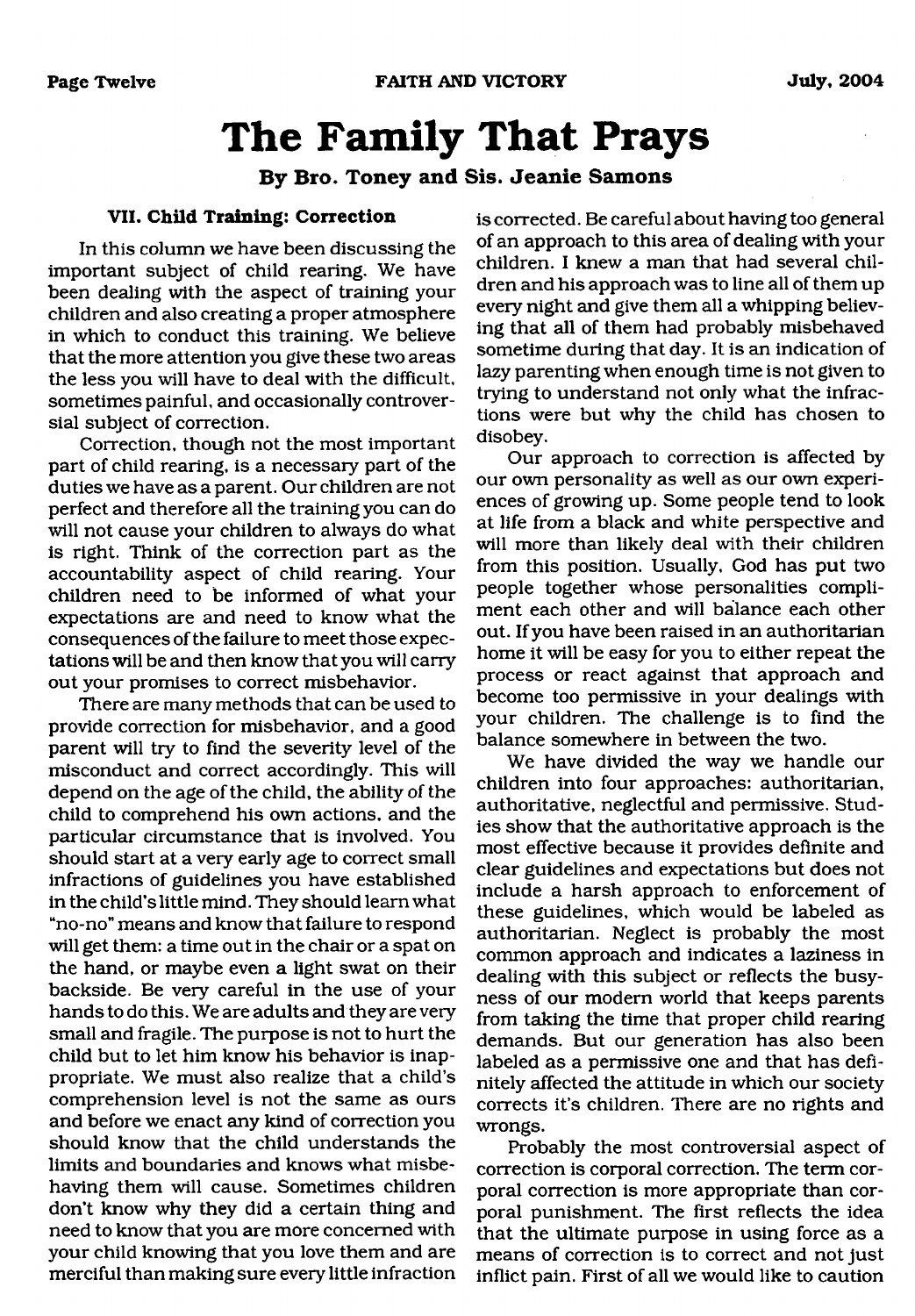## <span id="page-11-0"></span>**The Family That Prays**

#### **By Bro. Toney and Sis. Jeanie Samons**

#### **VII. Child Training: Correction**

In this column we have been discussing the important subject of child rearing. We have been dealing with the aspect of training your children and also creating a proper atmosphere in which to conduct this training. We believe that the more attention you give these two areas the less you will have to deal with the difficult, sometimes painful, and occasionally controversial subject of correction.

Correction, though not the most important part of child rearing, is a necessary part of the duties we have as a parent. Our children are not perfect and therefore all the training you can do will not cause your children to always do what is right. Think of the correction part as the accountability aspect of child rearing. Your children need to be informed of what your expectations are and need to know what the consequences of the failure to meet those expectations will be and then know that you will carry out your promises to correct misbehavior.

There are many methods that can be used to provide correction for misbehavior, and a good parent will try to find the severity level of the misconduct and correct accordingly. This will depend on the age of the child, the ability of the child to comprehend his own actions, and the particular circumstance that is involved. You should start at a very early age to correct small infractions of guidelines you have established in the child's little mind. They should learn what "no-no" means and know that failure to respond will get them: a time out in the chair or a spat on the hand, or maybe even a light swat on their backside. Be very careful in the use of your hands to do this. We are adults and they are very small and fragile. The purpose is not to hurt the child but to let him know his behavior is inappropriate. We must also realize that a child's comprehension level is not the same as ours and before we enact any kind of correction you should know that the child understands the limits and boundaries and knows what misbehaving them will cause. Sometimes children don't know why they did a certain thing and need to know that you are more concerned with your child knowing that you love them and are merciful than making sure every little infraction is corrected. Be careful about having too general of an approach to this area of dealing with your children. I knew a man that had several children and his approach was to line all of them up every night and give them all a whipping believing that all of them had probably misbehaved sometime during that day. It is an indication of lazy parenting when enough time is not given to trying to understand not only what the infractions were but why the child has chosen to disobey.

Our approach to correction is affected by our own personality as well as our own experiences of growing up. Some people tend to look at life from a black and white perspective and will more than likely deal with their children from this position. Usually, God has put two people together whose personalities compliment each other and will balance each other out. If you have been raised in an authoritarian home it will be easy for you to either repeat the process or react against that approach and become too permissive in your dealings with your children. The challenge is to find the balance somewhere in between the two.

We have divided the way we handle our children into four approaches: authoritarian, authoritative, neglectful and permissive. Studies show that the authoritative approach is the most effective because it provides definite and clear guidelines and expectations but does not include a harsh approach to enforcement of these guidelines, which would be labeled as authoritarian. Neglect is probably the most common approach and indicates a laziness in dealing with this subject or reflects the busyness of our modem world that keeps parents from taking the time that proper child rearing demands. But our generation has also been labeled as a permissive one and that has definitely affected the attitude in which our society corrects it's children. There are no rights and wrongs.

Probably the most controversial aspect of correction is corporal correction. The term corporal correction is more appropriate than corporal punishment. The first reflects the idea that the ultimate purpose in using force as a means of correction is to correct and not just inflict pain. First of all we would like to caution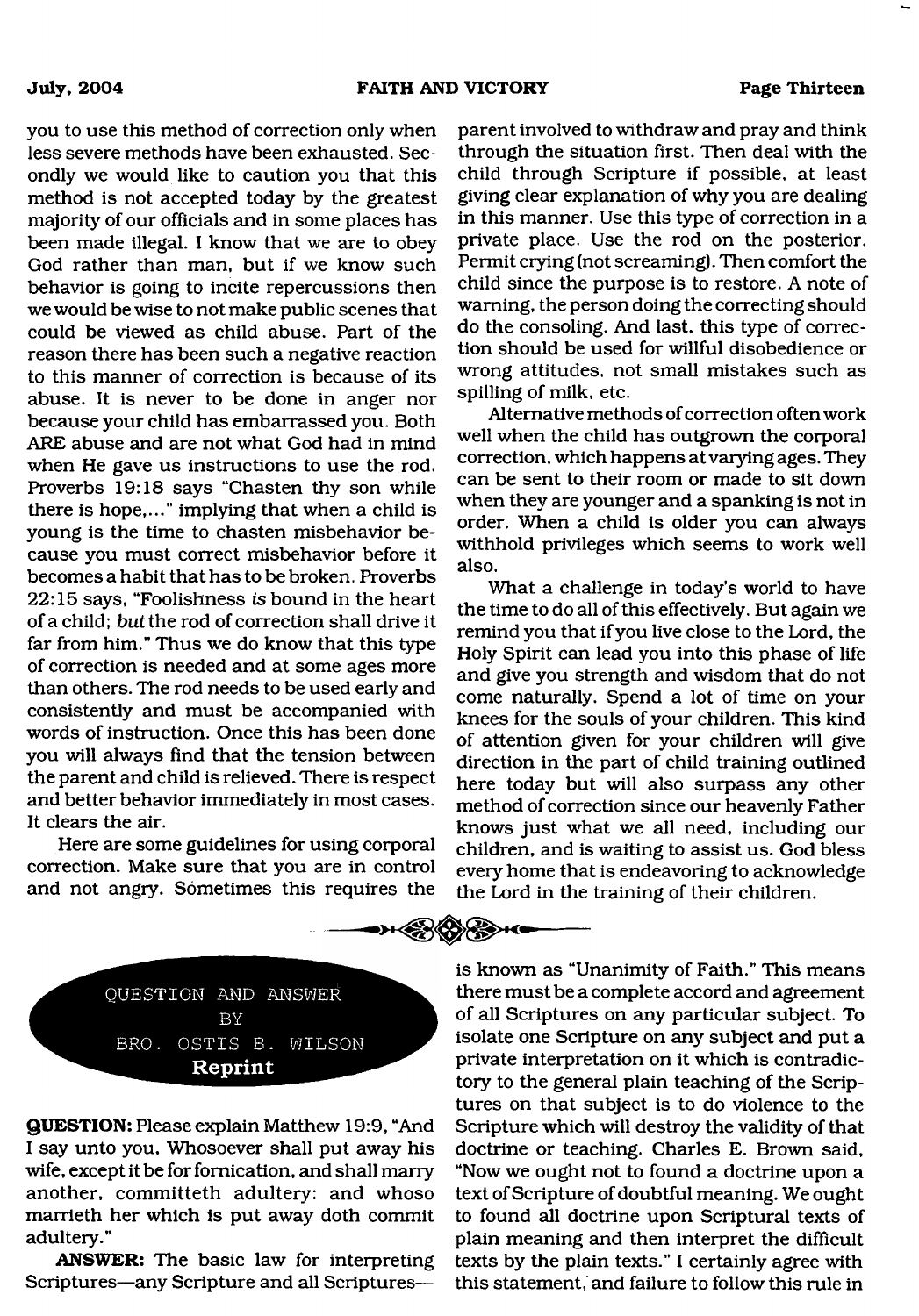$\cdots \in \mathbb{R}$  ,  $\cdots$ 

you to use this method of correction only when less severe methods have been exhausted. Secondly we would like to caution you that this method is not accepted today by the greatest majority of our officials and in some places has been made illegal. I know that we are to obey God rather than man, but if we know such behavior is going to incite repercussions then we would be wise to not make public scenes that could be viewed as child abuse. Part of the reason there has been such a negative reaction to this manner of correction is because of its abuse. It is never to be done in anger nor because your child has embarrassed you. Both ARE abuse and are not what God had in mind when He gave us instructions to use the rod. Proverbs 19:18 says "Chasten thy son while there is hope,..." implying that when a child is young is the time to chasten misbehavior because you must correct misbehavior before it becomes a habit that has to be broken. Proverbs 22:15 says, "Foolishness *is* bound in the heart of a child; *but* the rod of correction shall drive it far from him." Thus we do know that this type of correction is needed and at some ages more than others. The rod needs to be used early and consistently and must be accompanied with words of instruction. Once this has been done you will always find that the tension between the parent and child is relieved. There is respect and better behavior immediately in most cases. It clears the air.

Here are some guidelines for using corporal correction. Make sure that you are in control and not angry. Sometimes this requires the

parent involved to withdraw and pray and think through the situation first. Then deal with the child through Scripture if possible, at least giving clear explanation of why you are dealing in this manner. Use this type of correction in a private place. Use the rod on the posterior. Permit crying (not screaming). Then comfort the child since the purpose is to restore. A note of warning, the person doing the correcting should do the consoling. And last, this type of correction should be used for willful disobedience or wrong attitudes, not small mistakes such as spilling of milk, etc.

Alternative methods of correction often work well when the child has outgrown the corporal correction, which happens at varying ages. They can be sent to their room or made to sit down when they are younger and a spanking is not in order. When a child is older you can always withhold privileges which seems to work well also.

What a challenge in today's world to have the time to do all of this effectively. But again we remind you that if you live close to the Lord, the Holy Spirit can lead you into this phase of life and give you strength and wisdom that do not come naturally. Spend a lot of time on your knees for the souls of your children. This kind of attention given for your children will give direction in the part of child training outlined here today but will also surpass any other method of correction since our heavenly Father knows just what we all need, including our children, and is waiting to assist us. God bless every home that is endeavoring to acknowledge the Lord in the training of their children.

QUESTION AND ANSWER BY BRO. OSTIS B. WILSON **Reprint** 

**QUESTION:** Please explain Matthew 19:9, "And I say unto you, Whosoever shall put away his wife, except it be for fornication, and shall marry another, committeth adultery: and whoso marrieth her which is put away doth commit adultery."

**ANSWER:** The basic law for interpreting Scriptures—any Scripture and all Scripturesis known as "Unanimity of Faith." This means there must be a complete accord and agreement of all Scriptures on any particular subject. To isolate one Scripture on any subject and put a private interpretation on it which is contradictory to the general plain teaching of the Scriptures on that subject is to do violence to the Scripture which will destroy the validity of that doctrine or teaching. Charles E. Brown said, "Now we ought not to found a doctrine upon a text of Scripture of doubtful meaning. We ought to found all doctrine upon Scriptural texts of plain meaning and then interpret the difficult texts by the plain texts." I certainly agree with this statement, and failure to follow this rule in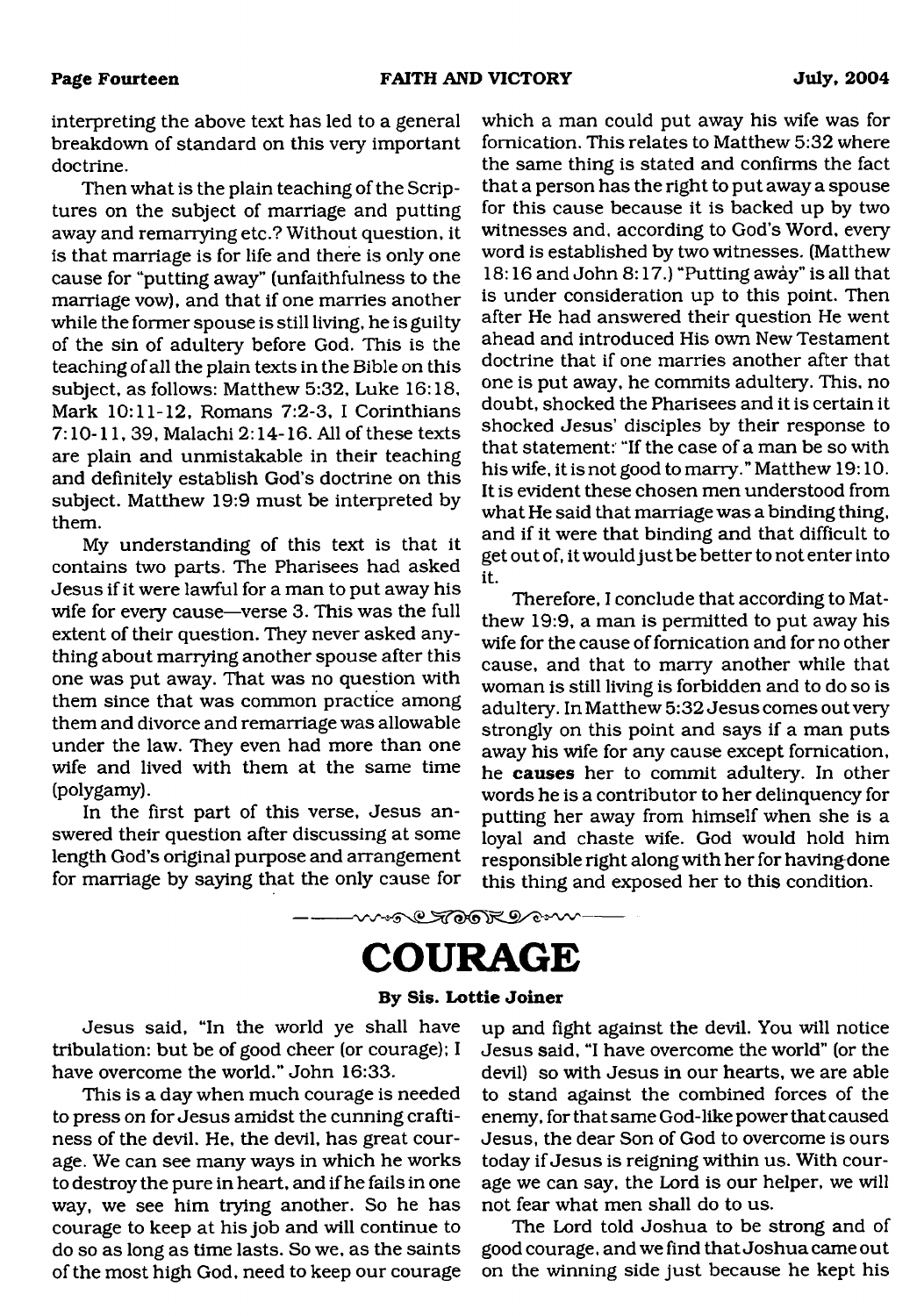interpreting the above text has led to a general breakdown of standard on this very important doctrine.

Then what is the plain teaching of the Scriptures on the subject of marriage and putting away and remarrying etc.? Without question, it is that marriage is for life and there is only one cause for "putting away" (unfaithfulness to the marriage vow), and that if one marries another while the former spouse is still living, he is guilty of the sin of adultery before God. This is the teaching of all the plain texts in the Bible on this subject, as follows: Matthew 5:32, Luke 16:18, Mark 10:11-12, Romans 7:2-3, I Corinthians 7:10-11, 39, Malachi 2:14-16. All of these texts are plain and unmistakable in their teaching and definitely establish God's doctrine on this subject. Matthew 19:9 must be interpreted by them.

My understanding of this text is that it contains two parts. The Pharisees had asked Jesus if it were lawful for a man to put away his wife for every cause—verse 3. This was the full extent of their question. They never asked anything about marrying another spouse after this one was put away. That was no question with them since that was common practice among them and divorce and remarriage was allowable under the law. They even had more than one wife and lived with them at the same time (polygamy).

In the first part of this verse, Jesus answered their question after discussing at some length God's original purpose and arrangement for marriage by saying that the only cause for which a man could put away his wife was for fornication. This relates to Matthew 5:32 where the same thing is stated and confirms the fact that a person has the right to put away a spouse for this cause because it is backed up by two witnesses and, according to God's Word, every word is established by two witnesses. (Matthew 18:16 and John 8:17.) "Putting away" is all that is under consideration up to this point. Then after He had answered their question He went ahead and introduced His own New Testament doctrine that if one marries another after that one is put away, he commits adultery. This, no doubt, shocked the Pharisees and it is certain it shocked Jesus' disciples by their response to that statement: "If the case of a man be so with his wife, it is not good to marry." Matthew 19:10. It is evident these chosen men understood from what He said that marriage was a binding thing, and if it were that binding and that difficult to get out of, it would just be better to not enter into it.

Therefore, I conclude that according to Matthew 19:9, a man is permitted to put away his wife for the cause of fornication and for no other cause, and that to marry another while that woman is still living is forbidden and to do so is adultery. In Matthew 5:32 Jesus comes out very strongly on this point and says if a man puts away his wife for any cause except fornication, he **causes** her to commit adultery. In other words he is a contributor to her delinquency for putting her away from himself when she is a loyal and chaste wife. God would hold him responsible right along with her for havingdone this thing and exposed her to this condition.

### <span id="page-13-0"></span>**COURAGE**

**w÷<del>@©</del>@@```@@`**~~~

#### **By Sis. Lottie Joiner**

Jesus said, "In the world ye shall have tribulation: but be of good cheer (or courage); I have overcome the world." John 16:33.

This is a day when much courage is needed to press on for Jesus amidst the cunning craftiness of the devil. He, the devil, has great courage. We can see many ways in which he works to destroy the pure in heart, and if he fails in one way, we see him trying another. So he has courage to keep at his job and will continue to do so as long as time lasts. So we, as the saints of the most high God, need to keep our courage

up and fight against the devil. You will notice Jesus said, "I have overcome the world" (or the devil) so with Jesus in our hearts, we are able to stand against the combined forces of the enemy, for that same God-like power that caused Jesus, the dear Son of God to overcome is ours today if Jesus is reigning within us. With courage we can say, the Lord is our helper, we will not fear what men shall do to us.

The Lord told Joshua to be strong and of good courage, and we find that Joshua came out on the winning side just because he kept his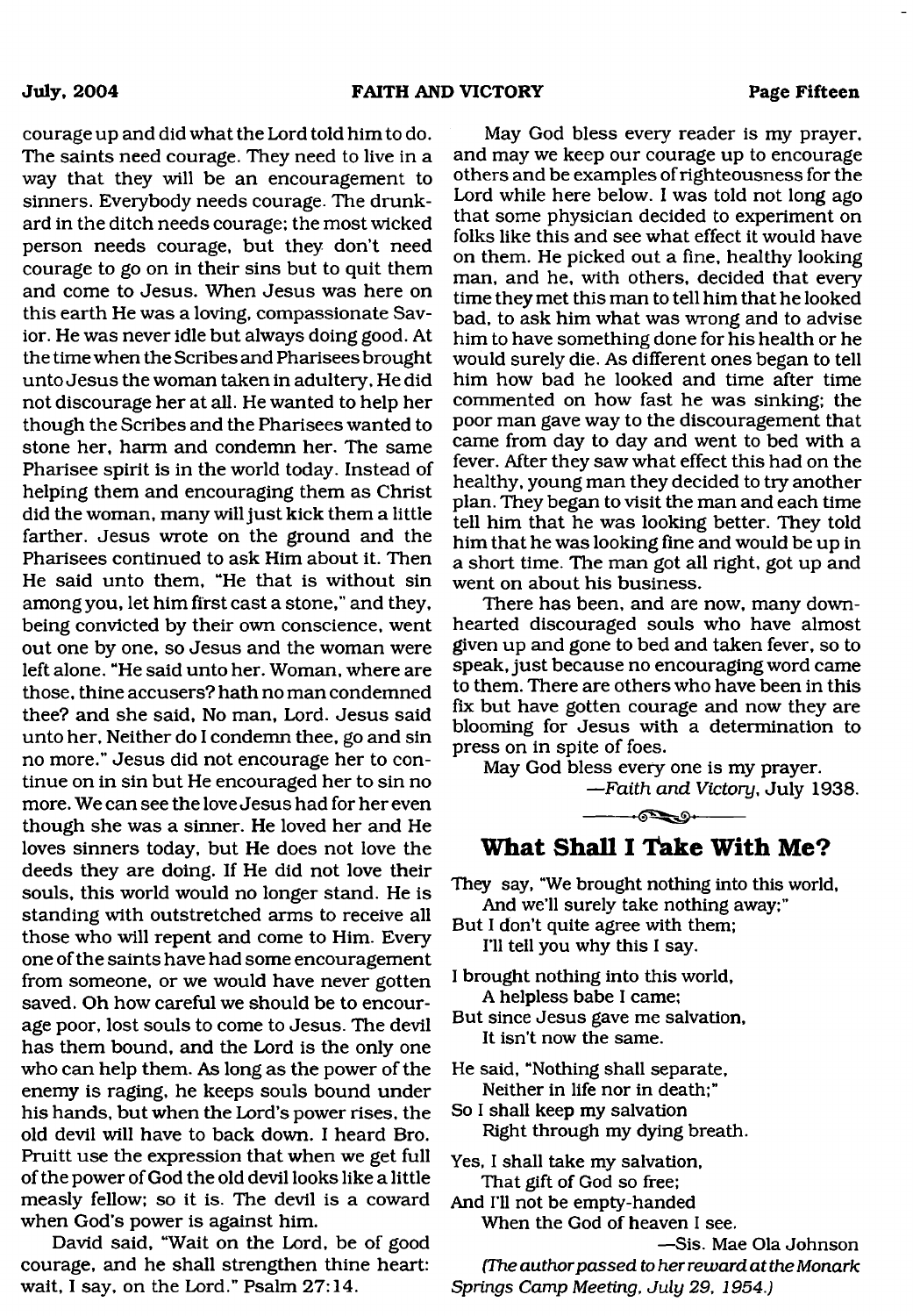courage up and did what the Lord told him to do. The saints need courage. They need to live in a way that they will be an encouragement to sinners. Everybody needs courage. The drunkard in the ditch needs courage; the most wicked person needs courage, but they don't need courage to go on in their sins but to quit them and come to Jesus. When Jesus was here on this earth He was a loving, compassionate Savior. He was never idle but always doing good. At the time when the Scribes and Pharisees brought unto Jesus the woman taken in adultery. He did not discourage her at all. He wanted to help her though the Scribes and the Pharisees wanted to stone her, harm and condemn her. The same Pharisee spirit is in the world today. Instead of helping them and encouraging them as Christ did the woman, many will just kick them a little farther. Jesus wrote on the ground and the Pharisees continued to ask Him about it. Then He said unto them, "He that is without sin among you, let him first cast a stone," and they, being convicted by their own conscience, went out one by one, so Jesus and the woman were left alone. "He said unto her. Woman, where are those, thine accusers? hath no man condemned thee? and she said, No man, Lord. Jesus said unto her. Neither do I condemn thee, go and sin no more." Jesus did not encourage her to continue on in sin but He encouraged her to sin no more. We can see the love Jesus had for her even though she was a sinner. He loved her and He loves sinners today, but He does not love the deeds they are doing. If He did not love their souls, this world would no longer stand. He is standing with outstretched arms to receive all those who will repent and come to Him. Every one of the saints have had some encouragement from someone, or we would have never gotten saved. Oh how careful we should be to encourage poor, lost souls to come to Jesus. The devil has them bound, and the Lord is the only one who can help them. As long as the power of the enemy is raging, he keeps souls bound under his hands, but when the Lord's power rises, the old devil will have to back down. I heard Bro. Pruitt use the expression that when we get full of the power of God the old devil looks like a little measly fellow; so it is. The devil is a coward when God's power is against him.

David said, "Wait on the Lord, be of good courage, and he shall strengthen thine heart: wait, I say, on the Lord." Psalm 27:14.

May God bless every reader is my prayer, and may we keep our courage up to encourage others and be examples of righteousness for the Lord while here below. I was told not long ago that some physician decided to experiment on folks like this and see what effect it would have on them. He picked out a fine, healthy looking man, and he, with others, decided that every time they met this man to tell him that he looked bad, to ask him what was wrong and to advise him to have something done for his health or he would surely die. As different ones began to tell him how bad he looked and time after time commented on how fast he was sinking; the poor man gave way to the discouragement that came from day to day and went to bed with a fever. After they saw what effect this had on the healthy, young man they decided to try another plan. They began to visit the man and each time tell him that he was looking better. They told him that he was looking fine and would be up in a short time. The man got all right, got up and went on about his business.

There has been, and are now, many downhearted discouraged souls who have almost given up and gone to bed and taken fever, so to speak, just because no encouraging word came to them. There are others who have been in this fix but have gotten courage and now they are blooming for Jesus with a determination to press on in spite of foes.

May God bless every one is my prayer. *—Faith and Victory,* July 1938.



#### **What Shall I Take With Me?**

They say, "We brought nothing into this world, And we'll surely take nothing away;"

But I don't quite agree with them; I'll tell you why this I say.

- I brought nothing into this world, A helpless babe I came;
- But since Jesus gave me salvation, It isn't now the same.

He said, "Nothing shall separate, Neither in life nor in death;"

So I shall keep my salvation Right through my dying breath.

Yes, I shall take my salvation, That gift of God so free;

And I'll not be empty-handed

When the God of heaven I see.

—Sis. Mae Ola Johnson

*(The author passed to her reward at the Monark Springs Camp Meeting*, *July 29, 1954.)*